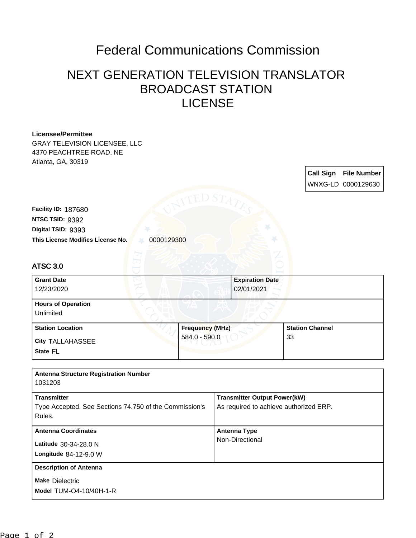## Federal Communications Commission

## NEXT GENERATION TELEVISION TRANSLATOR BROADCAST STATION LICENSE

| <b>Licensee/Permittee</b>                              |                        |  |                                        |  |                        |                    |  |
|--------------------------------------------------------|------------------------|--|----------------------------------------|--|------------------------|--------------------|--|
| <b>GRAY TELEVISION LICENSEE, LLC</b>                   |                        |  |                                        |  |                        |                    |  |
| 4370 PEACHTREE ROAD, NE                                |                        |  |                                        |  |                        |                    |  |
| Atlanta, GA, 30319                                     |                        |  |                                        |  |                        |                    |  |
|                                                        |                        |  |                                        |  | <b>Call Sign</b>       | <b>File Number</b> |  |
|                                                        |                        |  |                                        |  |                        |                    |  |
|                                                        |                        |  |                                        |  |                        | WNXG-LD 0000129630 |  |
|                                                        | ED S7                  |  |                                        |  |                        |                    |  |
| Facility ID: 187680                                    |                        |  |                                        |  |                        |                    |  |
| NTSC TSID: 9392                                        |                        |  |                                        |  |                        |                    |  |
| Digital TSID: 9393                                     |                        |  |                                        |  |                        |                    |  |
|                                                        |                        |  |                                        |  |                        |                    |  |
| This License Modifies License No.<br>0000129300        |                        |  |                                        |  |                        |                    |  |
|                                                        |                        |  |                                        |  |                        |                    |  |
| <b>ATSC 3.0</b>                                        |                        |  |                                        |  |                        |                    |  |
|                                                        |                        |  |                                        |  |                        |                    |  |
| <b>Grant Date</b>                                      |                        |  | <b>Expiration Date</b>                 |  |                        |                    |  |
| 12/23/2020                                             |                        |  | 02/01/2021                             |  |                        |                    |  |
| <b>Hours of Operation</b>                              |                        |  |                                        |  |                        |                    |  |
| Unlimited                                              |                        |  |                                        |  |                        |                    |  |
|                                                        |                        |  |                                        |  |                        |                    |  |
| <b>Station Location</b>                                | <b>Frequency (MHz)</b> |  |                                        |  | <b>Station Channel</b> |                    |  |
| <b>City TALLAHASSEE</b>                                | 584.0 - 590.0          |  | 33                                     |  |                        |                    |  |
| State FL                                               |                        |  |                                        |  |                        |                    |  |
|                                                        |                        |  |                                        |  |                        |                    |  |
|                                                        |                        |  |                                        |  |                        |                    |  |
| <b>Antenna Structure Registration Number</b>           |                        |  |                                        |  |                        |                    |  |
| 1031203                                                |                        |  |                                        |  |                        |                    |  |
| <b>Transmitter</b>                                     |                        |  | <b>Transmitter Output Power(kW)</b>    |  |                        |                    |  |
| Type Accepted. See Sections 74.750 of the Commission's |                        |  | As required to achieve authorized ERP. |  |                        |                    |  |
| Rules.                                                 |                        |  |                                        |  |                        |                    |  |
|                                                        |                        |  |                                        |  |                        |                    |  |
| <b>Antenna Coordinates</b>                             |                        |  | <b>Antenna Type</b>                    |  |                        |                    |  |
| Latitude 30-34-28.0 N                                  |                        |  | Non-Directional                        |  |                        |                    |  |
| Longitude 84-12-9.0 W                                  |                        |  |                                        |  |                        |                    |  |
|                                                        |                        |  |                                        |  |                        |                    |  |
| <b>Description of Antenna</b>                          |                        |  |                                        |  |                        |                    |  |
| <b>Make Dielectric</b>                                 |                        |  |                                        |  |                        |                    |  |
| Model TUM-O4-10/40H-1-R                                |                        |  |                                        |  |                        |                    |  |
|                                                        |                        |  |                                        |  |                        |                    |  |